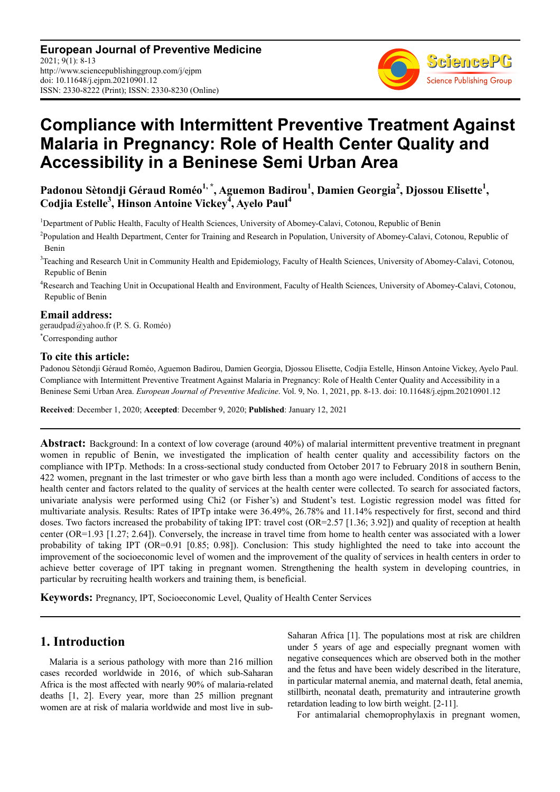**European Journal of Preventive Medicine** 2021; 9(1): 8-13 http://www.sciencepublishinggroup.com/j/ejpm doi: 10.11648/j.ejpm.20210901.12 ISSN: 2330-8222 (Print); ISSN: 2330-8230 (Online)



# **Compliance with Intermittent Preventive Treatment Against Malaria in Pregnancy: Role of Health Center Quality and Accessibility in a Beninese Semi Urban Area**

**Padonou Sètondji Géraud Roméo1, \*, Aguemon Badirou<sup>1</sup> , Damien Georgia<sup>2</sup> , Djossou Elisette<sup>1</sup> , Codjia Estelle<sup>3</sup> , Hinson Antoine Vickey<sup>4</sup> , Ayelo Paul<sup>4</sup>**

<sup>1</sup>Department of Public Health, Faculty of Health Sciences, University of Abomey-Calavi, Cotonou, Republic of Benin

- <sup>2</sup> Population and Health Department, Center for Training and Research in Population, University of Abomey-Calavi, Cotonou, Republic of Benin
- <sup>3</sup>Teaching and Research Unit in Community Health and Epidemiology, Faculty of Health Sciences, University of Abomey-Calavi, Cotonou, Republic of Benin
- <sup>4</sup>Research and Teaching Unit in Occupational Health and Environment, Faculty of Health Sciences, University of Abomey-Calavi, Cotonou, Republic of Benin

**Email address:**<br>geraudpad@yahoo.fr (P. S. G. Roméo) \*Corresponding author

## **To cite this article:**

Padonou Sètondji Géraud Roméo, Aguemon Badirou, Damien Georgia, Djossou Elisette, Codjia Estelle, Hinson Antoine Vickey, Ayelo Paul. Compliance with Intermittent Preventive Treatment Against Malaria in Pregnancy: Role of Health Center Quality and Accessibility in a Beninese Semi Urban Area. *European Journal of Preventive Medicine*. Vol. 9, No. 1, 2021, pp. 8-13. doi: 10.11648/j.ejpm.20210901.12

**Received**: December 1, 2020; **Accepted**: December 9, 2020; **Published**: January 12, 2021

**Abstract:** Background: In a context of low coverage (around 40%) of malarial intermittent preventive treatment in pregnant women in republic of Benin, we investigated the implication of health center quality and accessibility factors on the compliance with IPTp. Methods: In a cross-sectional study conducted from October 2017 to February 2018 in southern Benin, 422 women, pregnant in the last trimester or who gave birth less than a month ago were included. Conditions of access to the health center and factors related to the quality of services at the health center were collected. To search for associated factors, univariate analysis were performed using Chi2 (or Fisher's) and Student's test. Logistic regression model was fitted for multivariate analysis. Results: Rates of IPTp intake were 36.49%, 26.78% and 11.14% respectively for first, second and third doses. Two factors increased the probability of taking IPT: travel cost (OR=2.57 [1.36; 3.92]) and quality of reception at health center (OR=1.93 [1.27; 2.64]). Conversely, the increase in travel time from home to health center was associated with a lower probability of taking IPT (OR=0.91 [0.85; 0.98]). Conclusion: This study highlighted the need to take into account the improvement of the socioeconomic level of women and the improvement of the quality of services in health centers in order to achieve better coverage of IPT taking in pregnant women. Strengthening the health system in developing countries, in particular by recruiting health workers and training them, is beneficial.

**Keywords:** Pregnancy, IPT, Socioeconomic Level, Quality of Health Center Services

## **1. Introduction**

Malaria is a serious pathology with more than 216 million cases recorded worldwide in 2016, of which sub-Saharan Africa is the most affected with nearly 90% of malaria-related deaths [1, 2]. Every year, more than 25 million pregnant women are at risk of malaria worldwide and most live in subSaharan Africa [1]. The populations most at risk are children under 5 years of age and especially pregnant women with negative consequences which are observed both in the mother and the fetus and have been widely described in the literature, in particular maternal anemia, and maternal death, fetal anemia, stillbirth, neonatal death, prematurity and intrauterine growth retardation leading to low birth weight. [2-11].

For antimalarial chemoprophylaxis in pregnant women,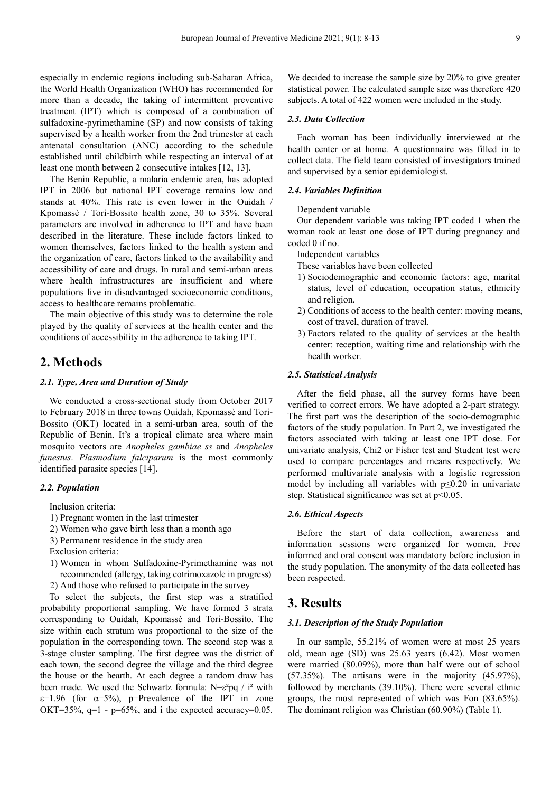especially in endemic regions including sub-Saharan Africa, the World Health Organization (WHO) has recommended for more than a decade, the taking of intermittent preventive treatment (IPT) which is composed of a combination of sulfadoxine-pyrimethamine (SP) and now consists of taking supervised by a health worker from the 2nd trimester at each antenatal consultation (ANC) according to the schedule established until childbirth while respecting an interval of at least one month between 2 consecutive intakes [12, 13].

The Benin Republic, a malaria endemic area, has adopted IPT in 2006 but national IPT coverage remains low and stands at 40%. This rate is even lower in the Ouidah / Kpomassè / Tori-Bossito health zone, 30 to 35%. Several parameters are involved in adherence to IPT and have been described in the literature. These include factors linked to women themselves, factors linked to the health system and the organization of care, factors linked to the availability and accessibility of care and drugs. In rural and semi-urban areas where health infrastructures are insufficient and where populations live in disadvantaged socioeconomic conditions, access to healthcare remains problematic.

The main objective of this study was to determine the role played by the quality of services at the health center and the conditions of accessibility in the adherence to taking IPT.

## **2. Methods**

### *2.1. Type, Area and Duration of Study*

We conducted a cross-sectional study from October 2017 to February 2018 in three towns Ouidah, Kpomassè and Tori-Bossito (OKT) located in a semi-urban area, south of the Republic of Benin. It's a tropical climate area where main mosquito vectors are *Anopheles gambiae ss* and *Anopheles funestus*. *Plasmodium falciparum* is the most commonly identified parasite species [14].

#### *2.2. Population*

Inclusion criteria:

- 1) Pregnant women in the last trimester
- 2) Women who gave birth less than a month ago
- 3) Permanent residence in the study area
- Exclusion criteria:
- 1) Women in whom Sulfadoxine-Pyrimethamine was not recommended (allergy, taking cotrimoxazole in progress)
- 2) And those who refused to participate in the survey

To select the subjects, the first step was a stratified probability proportional sampling. We have formed 3 strata corresponding to Ouidah, Kpomassè and Tori-Bossito. The size within each stratum was proportional to the size of the population in the corresponding town. The second step was a 3-stage cluster sampling. The first degree was the district of each town, the second degree the village and the third degree the house or the hearth. At each degree a random draw has been made. We used the Schwartz formula:  $N = \varepsilon^2 pq / i^2$  with  $\varepsilon$ =1.96 (for  $\alpha$ =5%), p=Prevalence of the IPT in zone OKT=35%,  $q=1$  -  $p=65%$ , and i the expected accuracy=0.05.

We decided to increase the sample size by 20% to give greater statistical power. The calculated sample size was therefore 420 subjects. A total of 422 women were included in the study.

## *2.3. Data Collection*

Each woman has been individually interviewed at the health center or at home. A questionnaire was filled in to collect data. The field team consisted of investigators trained and supervised by a senior epidemiologist.

## *2.4. Variables Definition*

#### Dependent variable

Our dependent variable was taking IPT coded 1 when the woman took at least one dose of IPT during pregnancy and coded 0 if no.

Independent variables

These variables have been collected

- 1) Sociodemographic and economic factors: age, marital status, level of education, occupation status, ethnicity and religion.
- 2) Conditions of access to the health center: moving means, cost of travel, duration of travel.
- 3) Factors related to the quality of services at the health center: reception, waiting time and relationship with the health worker.

## *2.5. Statistical Analysis*

After the field phase, all the survey forms have been verified to correct errors. We have adopted a 2-part strategy. The first part was the description of the socio-demographic factors of the study population. In Part 2, we investigated the factors associated with taking at least one IPT dose. For univariate analysis, Chi2 or Fisher test and Student test were used to compare percentages and means respectively. We performed multivariate analysis with a logistic regression model by including all variables with p≤0.20 in univariate step. Statistical significance was set at  $p<0.05$ .

#### *2.6. Ethical Aspects*

Before the start of data collection, awareness and information sessions were organized for women. Free informed and oral consent was mandatory before inclusion in the study population. The anonymity of the data collected has been respected.

## **3. Results**

## *3.1. Description of the Study Population*

In our sample, 55.21% of women were at most 25 years old, mean age (SD) was 25.63 years (6.42). Most women were married (80.09%), more than half were out of school (57.35%). The artisans were in the majority (45.97%), followed by merchants (39.10%). There were several ethnic groups, the most represented of which was Fon (83.65%). The dominant religion was Christian (60.90%) (Table 1).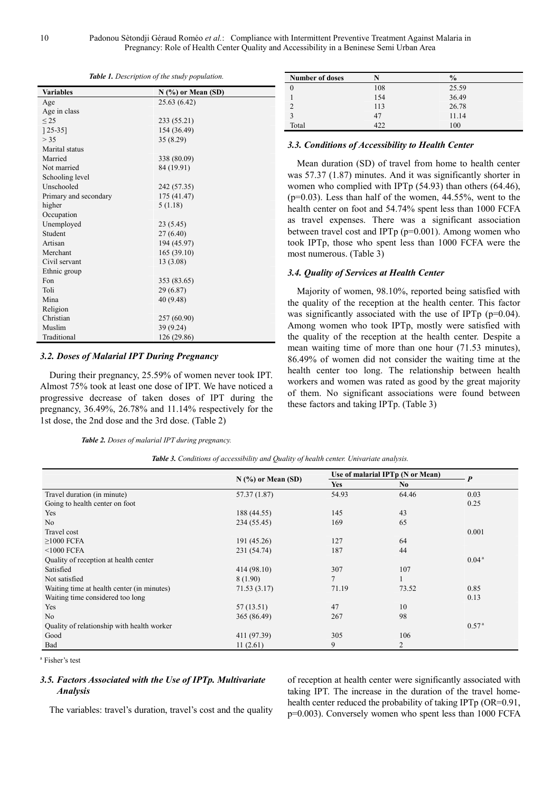| <b>Variables</b>      | $N$ (%) or Mean (SD) |
|-----------------------|----------------------|
| Age                   | 25.63 (6.42)         |
| Age in class          |                      |
| $<$ 25                | 233 (55.21)          |
| $[25-35]$             | 154 (36.49)          |
| > 35                  | 35 (8.29)            |
| Marital status        |                      |
| Married               | 338 (80.09)          |
| Not married           | 84 (19.91)           |
| Schooling level       |                      |
| Unschooled            | 242 (57.35)          |
| Primary and secondary | 175 (41.47)          |
| higher                | 5(1.18)              |
| Occupation            |                      |
| Unemployed            | 23 (5.45)            |
| Student               | 27(6.40)             |
| Artisan               | 194 (45.97)          |
| Merchant              | 165(39.10)           |
| Civil servant         | 13 (3.08)            |
| Ethnic group          |                      |
| Fon                   | 353 (83.65)          |
| Toli                  | 29 (6.87)            |
| Mina                  | 40 (9.48)            |
| Religion              |                      |
| Christian             | 257 (60.90)          |
| Muslim                | 39 (9.24)            |
| Traditional           | 126 (29.86)          |

#### *3.2. Doses of Malarial IPT During Pregnancy*

During their pregnancy, 25.59% of women never took IPT. Almost 75% took at least one dose of IPT. We have noticed a progressive decrease of taken doses of IPT during the pregnancy, 36.49%, 26.78% and 11.14% respectively for the 1st dose, the 2nd dose and the 3rd dose. (Table 2)

*Table 2. Doses of malarial IPT during pregnancy.* 

| <b>Number of doses</b> |     | $\frac{0}{0}$ |
|------------------------|-----|---------------|
|                        | 108 | 25.59         |
|                        | 154 | 36.49         |
|                        | 113 | 26.78         |
|                        | 47  | 11.14         |
| Total                  | 422 | 100           |

#### *3.3. Conditions of Accessibility to Health Center*

Mean duration (SD) of travel from home to health center was 57.37 (1.87) minutes. And it was significantly shorter in women who complied with IPTp (54.93) than others (64.46),  $(p=0.03)$ . Less than half of the women, 44.55%, went to the health center on foot and 54.74% spent less than 1000 FCFA as travel expenses. There was a significant association between travel cost and IPTp (p=0.001). Among women who took IPTp, those who spent less than 1000 FCFA were the most numerous. (Table 3)

#### *3.4. Quality of Services at Health Center*

Majority of women, 98.10%, reported being satisfied with the quality of the reception at the health center. This factor was significantly associated with the use of IPTp (p=0.04). Among women who took IPTp, mostly were satisfied with the quality of the reception at the health center. Despite a mean waiting time of more than one hour (71.53 minutes), 86.49% of women did not consider the waiting time at the health center too long. The relationship between health workers and women was rated as good by the great majority of them. No significant associations were found between these factors and taking IPTp. (Table 3)

| <b>Table 3.</b> Conditions of accessibility and Quality of health center. Univariate analysis. |  |  |
|------------------------------------------------------------------------------------------------|--|--|
|------------------------------------------------------------------------------------------------|--|--|

|                                            | $N$ (%) or Mean (SD) | Use of malarial IPTp (N or Mean) |                |                   |
|--------------------------------------------|----------------------|----------------------------------|----------------|-------------------|
|                                            |                      | <b>Yes</b>                       | No.            | $\boldsymbol{P}$  |
| Travel duration (in minute)                | 57.37 (1.87)         | 54.93                            | 64.46          | 0.03              |
| Going to health center on foot             |                      |                                  |                | 0.25              |
| Yes                                        | 188 (44.55)          | 145                              | 43             |                   |
| N <sub>o</sub>                             | 234 (55.45)          | 169                              | 65             |                   |
| Travel cost                                |                      |                                  |                | 0.001             |
| $\geq$ 1000 FCFA                           | 191 (45.26)          | 127                              | 64             |                   |
| $<$ 1000 FCFA                              | 231 (54.74)          | 187                              | 44             |                   |
| Quality of reception at health center      |                      |                                  |                | 0.04 <sup>a</sup> |
| Satisfied                                  | 414 (98.10)          | 307                              | 107            |                   |
| Not satisfied                              | 8 (1.90)             | $\overline{7}$                   |                |                   |
| Waiting time at health center (in minutes) | 71.53 (3.17)         | 71.19                            | 73.52          | 0.85              |
| Waiting time considered too long           |                      |                                  |                | 0.13              |
| Yes                                        | 57 (13.51)           | 47                               | 10             |                   |
| No                                         | 365 (86.49)          | 267                              | 98             |                   |
| Quality of relationship with health worker |                      |                                  |                | 0.57 <sup>a</sup> |
| Good                                       | 411 (97.39)          | 305                              | 106            |                   |
| Bad                                        | 11(2.61)             | 9                                | $\overline{2}$ |                   |

a Fisher's test

## *3.5. Factors Associated with the Use of IPTp. Multivariate Analysis*

The variables: travel's duration, travel's cost and the quality

of reception at health center were significantly associated with taking IPT. The increase in the duration of the travel homehealth center reduced the probability of taking IPTp (OR=0.91, p=0.003). Conversely women who spent less than 1000 FCFA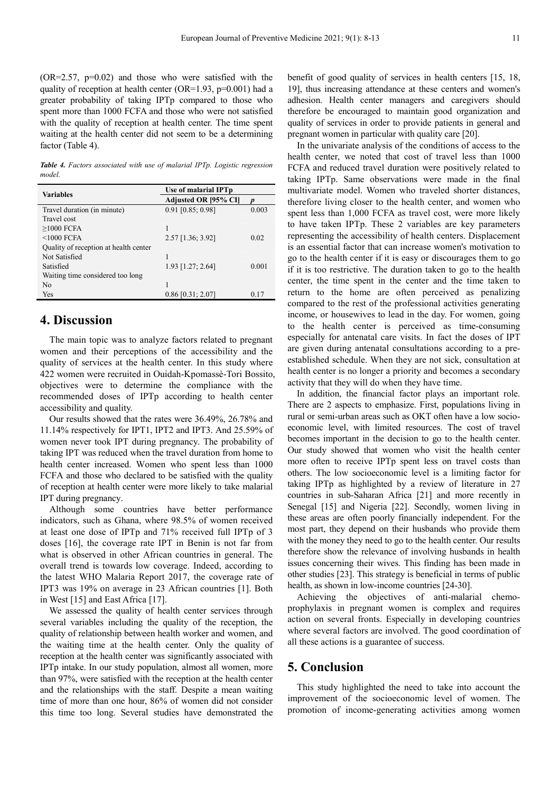$(OR=2.57, p=0.02)$  and those who were satisfied with the quality of reception at health center (OR=1.93, p=0.001) had a greater probability of taking IPTp compared to those who spent more than 1000 FCFA and those who were not satisfied with the quality of reception at health center. The time spent waiting at the health center did not seem to be a determining factor (Table 4).

*Table 4. Factors associated with use of malarial IPTp. Logistic regression model.* 

| <b>Variables</b>                      | Use of malarial IPTp |       |  |
|---------------------------------------|----------------------|-------|--|
|                                       | Adjusted OR [95% CI] |       |  |
| Travel duration (in minute)           | $0.91$ [0.85; 0.98]  | 0.003 |  |
| Travel cost                           |                      |       |  |
| $>1000$ FCFA                          |                      |       |  |
| $<$ 1000 FCFA                         | $2.57$ [1.36; 3.92]  | 0.02  |  |
| Quality of reception at health center |                      |       |  |
| Not Satisfied                         |                      |       |  |
| Satisfied                             | 1.93 [1.27; 2.64]    | 0.001 |  |
| Waiting time considered too long      |                      |       |  |
| N <sub>0</sub>                        |                      |       |  |
| Yes                                   | $0.86$ [0.31; 2.07]  | 0.17  |  |

## **4. Discussion**

The main topic was to analyze factors related to pregnant women and their perceptions of the accessibility and the quality of services at the health center. In this study where 422 women were recruited in Ouidah-Kpomassè-Tori Bossito, objectives were to determine the compliance with the recommended doses of IPTp according to health center accessibility and quality.

Our results showed that the rates were 36.49%, 26.78% and 11.14% respectively for IPT1, IPT2 and IPT3. And 25.59% of women never took IPT during pregnancy. The probability of taking IPT was reduced when the travel duration from home to health center increased. Women who spent less than 1000 FCFA and those who declared to be satisfied with the quality of reception at health center were more likely to take malarial IPT during pregnancy.

Although some countries have better performance indicators, such as Ghana, where 98.5% of women received at least one dose of IPTp and 71% received full IPTp of 3 doses [16], the coverage rate IPT in Benin is not far from what is observed in other African countries in general. The overall trend is towards low coverage. Indeed, according to the latest WHO Malaria Report 2017, the coverage rate of IPT3 was 19% on average in 23 African countries [1]. Both in West [15] and East Africa [17].

We assessed the quality of health center services through several variables including the quality of the reception, the quality of relationship between health worker and women, and the waiting time at the health center. Only the quality of reception at the health center was significantly associated with IPTp intake. In our study population, almost all women, more than 97%, were satisfied with the reception at the health center and the relationships with the staff. Despite a mean waiting time of more than one hour, 86% of women did not consider this time too long. Several studies have demonstrated the

benefit of good quality of services in health centers [15, 18, 19], thus increasing attendance at these centers and women's adhesion. Health center managers and caregivers should therefore be encouraged to maintain good organization and quality of services in order to provide patients in general and pregnant women in particular with quality care [20].

In the univariate analysis of the conditions of access to the health center, we noted that cost of travel less than 1000 FCFA and reduced travel duration were positively related to taking IPTp. Same observations were made in the final multivariate model. Women who traveled shorter distances, therefore living closer to the health center, and women who spent less than 1,000 FCFA as travel cost, were more likely to have taken IPTp. These 2 variables are key parameters representing the accessibility of health centers. Displacement is an essential factor that can increase women's motivation to go to the health center if it is easy or discourages them to go if it is too restrictive. The duration taken to go to the health center, the time spent in the center and the time taken to return to the home are often perceived as penalizing compared to the rest of the professional activities generating income, or housewives to lead in the day. For women, going to the health center is perceived as time-consuming especially for antenatal care visits. In fact the doses of IPT are given during antenatal consultations according to a preestablished schedule. When they are not sick, consultation at health center is no longer a priority and becomes a secondary activity that they will do when they have time.

In addition, the financial factor plays an important role. There are 2 aspects to emphasize. First, populations living in rural or semi-urban areas such as OKT often have a low socioeconomic level, with limited resources. The cost of travel becomes important in the decision to go to the health center. Our study showed that women who visit the health center more often to receive IPTp spent less on travel costs than others. The low socioeconomic level is a limiting factor for taking IPTp as highlighted by a review of literature in 27 countries in sub-Saharan Africa [21] and more recently in Senegal [15] and Nigeria [22]. Secondly, women living in these areas are often poorly financially independent. For the most part, they depend on their husbands who provide them with the money they need to go to the health center. Our results therefore show the relevance of involving husbands in health issues concerning their wives. This finding has been made in other studies [23]. This strategy is beneficial in terms of public health, as shown in low-income countries [24-30].

Achieving the objectives of anti-malarial chemoprophylaxis in pregnant women is complex and requires action on several fronts. Especially in developing countries where several factors are involved. The good coordination of all these actions is a guarantee of success.

## **5. Conclusion**

This study highlighted the need to take into account the improvement of the socioeconomic level of women. The promotion of income-generating activities among women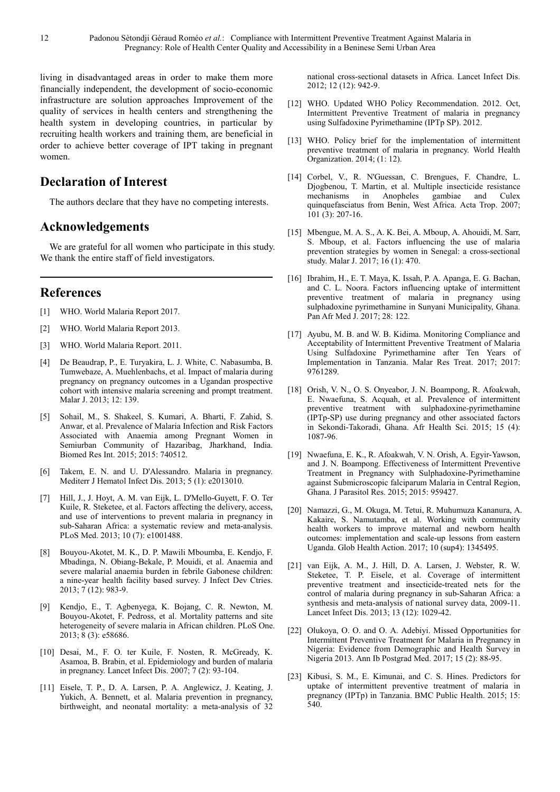living in disadvantaged areas in order to make them more financially independent, the development of socio-economic infrastructure are solution approaches Improvement of the quality of services in health centers and strengthening the health system in developing countries, in particular by recruiting health workers and training them, are beneficial in order to achieve better coverage of IPT taking in pregnant women.

## **Declaration of Interest**

The authors declare that they have no competing interests.

## **Acknowledgements**

We are grateful for all women who participate in this study. We thank the entire staff of field investigators.

## **References**

- [1] WHO. World Malaria Report 2017.
- [2] WHO. World Malaria Report 2013.
- [3] WHO. World Malaria Report. 2011.
- [4] De Beaudrap, P., E. Turyakira, L. J. White, C. Nabasumba, B. Tumwebaze, A. Muehlenbachs, et al. Impact of malaria during pregnancy on pregnancy outcomes in a Ugandan prospective cohort with intensive malaria screening and prompt treatment. Malar J. 2013; 12: 139.
- [5] Sohail, M., S. Shakeel, S. Kumari, A. Bharti, F. Zahid, S. Anwar, et al. Prevalence of Malaria Infection and Risk Factors Associated with Anaemia among Pregnant Women in Semiurban Community of Hazaribag, Jharkhand, India. Biomed Res Int. 2015; 2015: 740512.
- [6] Takem, E. N. and U. D'Alessandro. Malaria in pregnancy. Mediterr J Hematol Infect Dis. 2013; 5 (1): e2013010.
- [7] Hill, J., J. Hoyt, A. M. van Eijk, L. D'Mello-Guyett, F. O. Ter Kuile, R. Steketee, et al. Factors affecting the delivery, access, and use of interventions to prevent malaria in pregnancy in sub-Saharan Africa: a systematic review and meta-analysis. PLoS Med. 2013; 10 (7): e1001488.
- [8] Bouyou-Akotet, M. K., D. P. Mawili Mboumba, E. Kendjo, F. Mbadinga, N. Obiang-Bekale, P. Mouidi, et al. Anaemia and severe malarial anaemia burden in febrile Gabonese children: a nine-year health facility based survey. J Infect Dev Ctries. 2013; 7 (12): 983-9.
- [9] Kendjo, E., T. Agbenyega, K. Bojang, C. R. Newton, M. Bouyou-Akotet, F. Pedross, et al. Mortality patterns and site heterogeneity of severe malaria in African children. PLoS One. 2013; 8 (3): e58686.
- [10] Desai, M., F. O. ter Kuile, F. Nosten, R. McGready, K. Asamoa, B. Brabin, et al. Epidemiology and burden of malaria in pregnancy. Lancet Infect Dis. 2007; 7 (2): 93-104.
- [11] Eisele, T. P., D. A. Larsen, P. A. Anglewicz, J. Keating, J. Yukich, A. Bennett, et al. Malaria prevention in pregnancy, birthweight, and neonatal mortality: a meta-analysis of 32

national cross-sectional datasets in Africa. Lancet Infect Dis. 2012; 12 (12): 942-9.

- [12] WHO. Updated WHO Policy Recommendation. 2012. Oct, Intermittent Preventive Treatment of malaria in pregnancy using Sulfadoxine Pyrimethamine (IPTp SP). 2012.
- [13] WHO. Policy brief for the implementation of intermittent preventive treatment of malaria in pregnancy. World Health Organization. 2014; (1: 12).
- [14] Corbel, V., R. N'Guessan, C. Brengues, F. Chandre, L. Djogbenou, T. Martin, et al. Multiple insecticide resistance mechanisms in Anopheles gambiae and Culex quinquefasciatus from Benin, West Africa. Acta Trop. 2007; 101 (3): 207-16.
- [15] Mbengue, M. A. S., A. K. Bei, A. Mboup, A. Ahouidi, M. Sarr, S. Mboup, et al. Factors influencing the use of malaria prevention strategies by women in Senegal: a cross-sectional study. Malar J. 2017; 16 (1): 470.
- [16] Ibrahim, H., E. T. Maya, K. Issah, P. A. Apanga, E. G. Bachan, and C. L. Noora. Factors influencing uptake of intermittent preventive treatment of malaria in pregnancy using sulphadoxine pyrimethamine in Sunyani Municipality, Ghana. Pan Afr Med J. 2017; 28: 122.
- [17] Ayubu, M. B. and W. B. Kidima. Monitoring Compliance and Acceptability of Intermittent Preventive Treatment of Malaria Using Sulfadoxine Pyrimethamine after Ten Years of Implementation in Tanzania. Malar Res Treat. 2017; 2017: 9761289.
- [18] Orish, V. N., O. S. Onyeabor, J. N. Boampong, R. Afoakwah, E. Nwaefuna, S. Acquah, et al. Prevalence of intermittent preventive treatment with sulphadoxine-pyrimethamine (IPTp-SP) use during pregnancy and other associated factors in Sekondi-Takoradi, Ghana. Afr Health Sci. 2015; 15 (4): 1087-96.
- [19] Nwaefuna, E. K., R. Afoakwah, V. N. Orish, A. Egyir-Yawson, and J. N. Boampong. Effectiveness of Intermittent Preventive Treatment in Pregnancy with Sulphadoxine-Pyrimethamine against Submicroscopic falciparum Malaria in Central Region, Ghana. J Parasitol Res. 2015; 2015: 959427.
- [20] Namazzi, G., M. Okuga, M. Tetui, R. Muhumuza Kananura, A. Kakaire, S. Namutamba, et al. Working with community health workers to improve maternal and newborn health outcomes: implementation and scale-up lessons from eastern Uganda. Glob Health Action. 2017; 10 (sup4): 1345495.
- [21] van Eijk, A. M., J. Hill, D. A. Larsen, J. Webster, R. W. Steketee, T. P. Eisele, et al. Coverage of intermittent preventive treatment and insecticide-treated nets for the control of malaria during pregnancy in sub-Saharan Africa: a synthesis and meta-analysis of national survey data, 2009-11. Lancet Infect Dis. 2013; 13 (12): 1029-42.
- [22] Olukoya, O. O. and O. A. Adebiyi. Missed Opportunities for Intermittent Preventive Treatment for Malaria in Pregnancy in Nigeria: Evidence from Demographic and Health Survey in Nigeria 2013. Ann Ib Postgrad Med. 2017; 15 (2): 88-95.
- [23] Kibusi, S. M., E. Kimunai, and C. S. Hines. Predictors for uptake of intermittent preventive treatment of malaria in pregnancy (IPTp) in Tanzania. BMC Public Health. 2015; 15:  $540.$